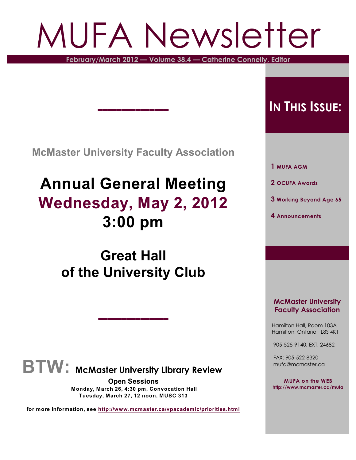# MUFA Newsletter

**February/March 2012 — Volume 38.4 — Catherine Connelly, Editor**

**McMaster University Faculty Association**

,,,,,,,,,,,,,,,

# **Annual General Meeting Wednesday, May 2, 2012 3:00 pm**

# **Great Hall of the University Club**

,,,,,,,,,,,,,,,



**Open Sessions Monday, March 26, 4:30 pm, Convocation Hall Tuesday, March 27, 12 noon, MUSC 313**

**for more information, see <http://www.mcmaster.ca/vpacademic/priorities.html>**

# **IN THIS ISSUE:**

 **1 MUFA AGM**

 **2 OCUFA Awards**

- **3 Working Beyond Age 65**
- **4 Announcements**

#### **McMaster University Faculty Association**

 Hamilton Hall, Room 103A Hamilton, Ontario L8S 4K1

905-525-9140, EXT. 24682

 FAX: 905-522-8320 mufa@mcmaster.ca

**MUFA on the WEB <http://www.mcmaster.ca/mufa>**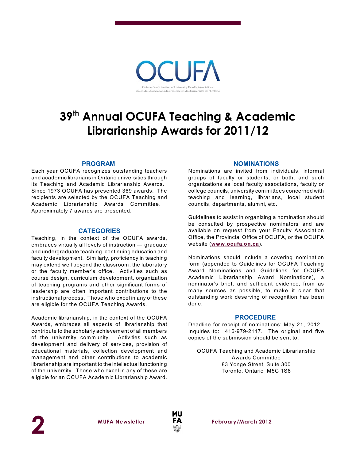n des Associations des Professeurs des Universités de l'Onta

# **39<sup>th</sup> Annual OCUFA Teaching & Academic Librarianship Awards for 2011/12**

#### **PROGRAM**

Each year OCUFA recognizes outstanding teachers and academic librarians in Ontario universities through its Teaching and Academic Librarianship Awards. Since 1973 OCUFA has presented 369 awards. The recipients are selected by the OCUFA Teaching and Academic Librarianship Awards Committee. Approximately 7 awards are presented.

#### **CATEGORIES**

Teaching, in the context of the OCUFA awards, embraces virtually all levels of instruction — graduate and undergraduate teaching, continuing education and faculty development. Similarly, proficiency in teaching may extend well beyond the classroom, the laboratory or the faculty member's office. Activities such as course design, curriculum development, organization of teaching programs and other significant forms of leadership are often important contributions to the instructional process. Those who excel in any of these are eligible for the OCUFA Teaching Awards.

Academic librarianship, in the context of the OCUFA Awards, embraces all aspects of librarianship that contribute to the scholarly achievement of all members of the university community. Activities such as development and delivery of services, provision of educational materials, collection development and management and other contributions to academic librarianship are important to the intellectual functioning of the university. Those who excel in any of these are eligible for an OCUFA Academic Librarianship Award.

#### **NOMINATIONS**

Nominations are invited from individuals, informal groups of faculty or students, or both, and such organizations as local faculty associations, faculty or college councils, university committees concerned with teaching and learning, librarians, local student councils, departments, alumni, etc.

Guidelines to assist in organizing a nomination should be consulted by prospective nominators and are available on request from your Faculty Association Office, the Provincial Office of OCUFA, or the OCUFA website (**[www.ocufa.on.ca](http://www.ocufa.on.ca)**).

Nominations should include a covering nomination form (appended to Guidelines for OCUFA Teaching Award Nominations and Guidelines for OCUFA Academic Librarianship Award Nominations), a nominator's brief, and sufficient evidence, from as many sources as possible, to make it clear that outstanding work deserving of recognition has been done.

#### **PROCEDURE**

Deadline for receipt of nominations: May 21, 2012. Inquiries to: 416-979-2117. The original and five copies of the submission should be sent to:

OCUFA Teaching and Academic Librarianship Awards Committee 83 Yonge Street, Suite 300 Toronto, Ontario M5C 1S8



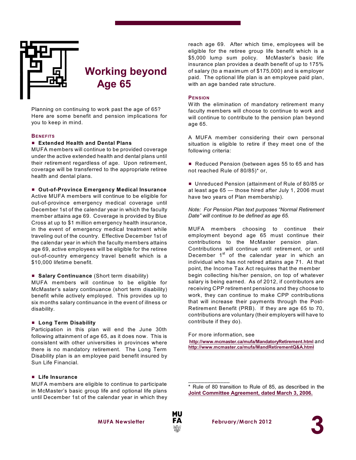

### **Working beyond Age 65**

Planning on continuing to work past the age of 65? Here are some benefit and pension implications for you to keep in mind.

#### **BENEFITS**

#### # **Extended Health and Dental Plans**

MUFA members will continue to be provided coverage under the active extended health and dental plans until their retirement regardless of age. Upon retirement, coverage will be transferred to the appropriate retiree health and dental plans.

#### # **Out-of-Province Emergency Medical Insurance**

Active MUFA members will continue to be eligible for out-of-province emergency medical coverage until December 1st of the calendar year in which the faculty member attains age 69. Coverage is provided by Blue Cross at up to \$1 million emergency health insurance, in the event of emergency medical treatment while traveling out of the country. Effective December 1st of the calendar year in which the faculty members attains age 69, active employees will be eligible for the retiree out-of-country emergency travel benefit which is a \$10,000 lifetime benefit.

#### **E** Salary Continuance (Short term disability)

MUFA members will continue to be eligible for McMaster's salary continuance (short term disability) benefit while actively employed. This provides up to six months salary continuance in the event of illness or disability.

#### # **Long Term Disability**

Participation in this plan will end the June 30th following attainment of age 65, as it does now. This is consistent with other universities in provinces where there is no mandatory retirement. The Long Term Disability plan is an employee paid benefit insured by Sun Life Financial.

#### # **Life Insurance**

MUFA members are eligible to continue to participate in McMaster's basic group life and optional life plans until December 1st of the calendar year in which they reach age 69. After which time, employees will be eligible for the retiree group life benefit which is a \$5,000 lump sum policy. McMaster's basic life insurance plan provides a death benefit of up to 175% of salary (to a maximum of \$175,000) and is employer paid. The optional life plan is an employee paid plan, with an age banded rate structure.

#### **PENSION**

W ith the elimination of mandatory retirement many faculty members will choose to continue to work and will continue to contribute to the pension plan beyond age 65.

A MUFA member considering their own personal situation is eligible to retire if they meet one of the following criteria:

■ Reduced Pension (between ages 55 to 65 and has not reached Rule of 80/85)\* or,

■ Unreduced Pension (attainment of Rule of 80/85 or at least age 65 — those hired after July 1, 2006 must have two years of Plan membership).

*Note: For Pension Plan text purposes "Normal Retirement Date" will continue to be defined as age 65.*

MUFA members choosing to continue their employment beyond age 65 must continue their contributions to the McMaster pension plan. Contributions will continue until retirement, or until December 1<sup>st</sup> of the calendar year in which an individual who has not retired attains age 71. At that point, the Income Tax Act requires that the member begin collecting his/her pension, on top of whatever salary is being earned. As of 2012, if contributors are receiving CPP retirement pensions and they choose to work, they can continue to make CPP contributions that will increase their payments through the Post-Retirement Benefit (PRB). If they are age 65 to 70, contributions are voluntary (their employers will have to contribute if they do).

For more information, see **<http://www.mcmaster.ca/mufa/MandatoryRetirement.html>** and **<http://www.mcmaster.ca/mufa/MandRetirementQ&A.html>**

\* Rule of 80 transition to Rule of 85, as described in the **[Joint Committee Agreement, dated March 3, 2006.](http://www.mcmaster.ca/mufa/jcagreement2006-march3.html)**



 $\frac{1}{2}$  ,  $\frac{1}{2}$  ,  $\frac{1}{2}$  ,  $\frac{1}{2}$  ,  $\frac{1}{2}$  ,  $\frac{1}{2}$  ,  $\frac{1}{2}$ 

**MUFA** Newsletter **FA** February/March 2012